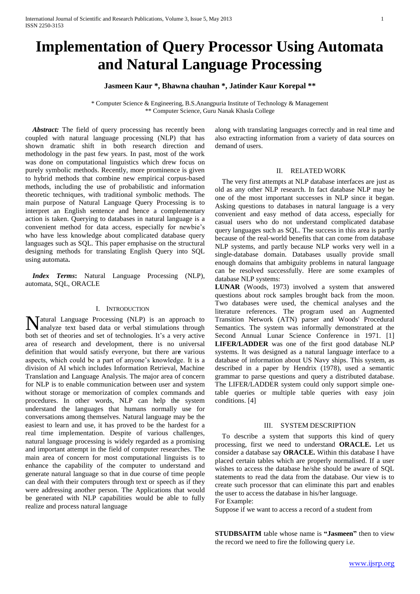# **Implementation of Query Processor Using Automata and Natural Language Processing**

## **Jasmeen Kaur \*, Bhawna chauhan \*, Jatinder Kaur Korepal \*\***

\* Computer Science & Engineering, B.S.Anangpuria Institute of Technology & Management \*\* Computer Science, Guru Nanak Khasla College

 *Abstract:* The field of query processing has recently been coupled with natural language processing (NLP) that has shown dramatic shift in both research direction and methodology in the past few years. In past, most of the work was done on computational linguistics which drew focus on purely symbolic methods. Recently, more prominence is given to hybrid methods that combine new empirical corpus-based methods, including the use of probabilistic and information theoretic techniques, with traditional symbolic methods. The main purpose of Natural Language Query Processing is to interpret an English sentence and hence a complementary action is taken. Querying to databases in natural language is a convenient method for data access, especially for newbie's who have less knowledge about complicated database query languages such as SQL. This paper emphasise on the structural designing methods for translating English Query into SQL using automata**.**

 *Index Terms***:** Natural Language Processing (NLP), automata, SQL, ORACLE

#### I. INTRODUCTION

atural Language Processing (NLP) is an approach to Matural Language Processing (NLP) is an approach to analyze text based data or verbal stimulations through both set of theories and set of technologies. It's a very active area of research and development, there is no universal definition that would satisfy everyone, but there ar**e** various aspects, which could be a part of anyone's knowledge. It is a division of AI which includes Information Retrieval, Machine Translation and Language Analysis. The major area of concern for NLP is to enable communication between user and system without storage or memorization of complex commands and procedures. In other words, NLP can help the system understand the languages that humans normally use for conversations among themselves. Natural language may be the easiest to learn and use, it has proved to be the hardest for a real time implementation. Despite of various challenges, natural language processing is widely regarded as a promising and important attempt in the field of computer researches. The main area of concern for most computational linguists is to enhance the capability of the computer to understand and generate natural language so that in due course of time people can deal with their computers through text or speech as if they were addressing another person. The Applications that would be generated with NLP capabilities would be able to fully realize and process natural language

along with translating languages correctly and in real time and also extracting information from a variety of data sources on demand of users.

#### II. RELATED WORK

 The very first attempts at NLP database interfaces are just as old as any other NLP research. In fact database NLP may be one of the most important successes in NLP since it began. Asking questions to databases in natural language is a very convenient and easy method of data access, especially for casual users who do not understand complicated database query languages such as SQL. The success in this area is partly because of the real-world benefits that can come from database NLP systems, and partly because NLP works very well in a single-database domain. Databases usually provide small enough domains that ambiguity problems in natural language can be resolved successfully. Here are some examples of database NLP systems:

**LUNAR** (Woods, 1973) involved a system that answered questions about rock samples brought back from the moon. Two databases were used, the chemical analyses and the literature references. The program used an Augmented Transition Network (ATN) parser and Woods' Procedural Semantics. The system was informally demonstrated at the Second Annual Lunar Science Conference in 1971. [1] **LIFER/LADDER** was one of the first good database NLP systems. It was designed as a natural language interface to a database of information about US Navy ships. This system, as described in a paper by Hendrix (1978), used a semantic grammar to parse questions and query a distributed database. The LIFER/LADDER system could only support simple onetable queries or multiple table queries with easy join conditions. [4]

#### III. SYSTEM DESCRIPTION

 To describe a system that supports this kind of query processing, first we need to understand **ORACLE.** Let us consider a database say **ORACLE.** Within this database I have placed certain tables which are properly normalised. If a user wishes to access the database he/she should be aware of SQL statements to read the data from the database. Our view is to create such processor that can eliminate this part and enables the user to access the database in his/her language.

For Example:

Suppose if we want to access a record of a student from

**STUDBSAITM** table whose name is **"Jasmeen"** then to view the record we need to fire the following query i.e.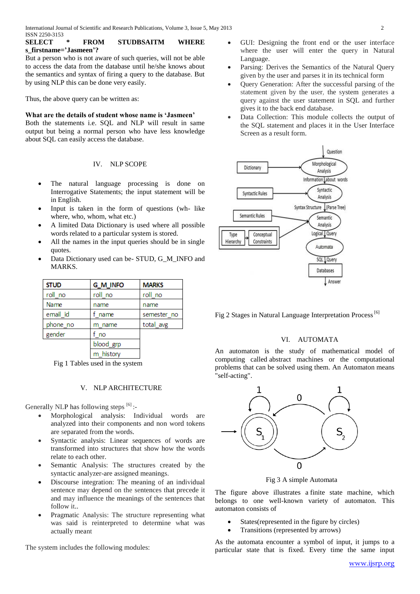**SELECT \* FROM STUDBSAITM WHERE s\_firstname='Jasmeen'?**

But a person who is not aware of such queries, will not be able to access the data from the database until he/she knows about the semantics and syntax of firing a query to the database. But by using NLP this can be done very easily.

Thus, the above query can be written as:

### **What are the details of student whose name is 'Jasmeen'**

Both the statements i.e. SQL and NLP will result in same output but being a normal person who have less knowledge about SQL can easily access the database.

#### IV. NLP SCOPE

- The natural language processing is done on Interrogative Statements; the input statement will be in English.
- Input is taken in the form of questions (wh- like where, who, whom, what etc.)
- A limited Data Dictionary is used where all possible words related to a particular system is stored.
- All the names in the input queries should be in single quotes.
- Data Dictionary used can be- STUD, G\_M\_INFO and MARKS.

| <b>STUD</b> | <b>G_M_INFO</b> | <b>MARKS</b> |
|-------------|-----------------|--------------|
| roll no     | roll no         | roll no      |
| Name        | name            | name         |
| email id    | f name          | semester no  |
| phone no    | m name          | total_avg    |
| gender      | f no            |              |
|             | blood grp       |              |
|             | m history       |              |

Fig 1 Tables used in the system

#### V. NLP ARCHITECTURE

Generally NLP has following steps  $[6]$  :-

- Morphological analysis: Individual words are analyzed into their components and non word tokens are separated from the words.
- Syntactic analysis: Linear sequences of words are transformed into structures that show how the words relate to each other.
- Semantic Analysis: The structures created by the syntactic analyzer-are assigned meanings.
- Discourse integration: The meaning of an individual sentence may depend on the sentences that precede it and may influence the meanings of the sentences that follow it..
- Pragmatic Analysis: The structure representing what was said is reinterpreted to determine what was actually meant

The system includes the following modules:

- GUI: Designing the front end or the user interface where the user will enter the query in Natural Language.
- Parsing: Derives the Semantics of the Natural Query given by the user and parses it in its technical form
- Query Generation: After the successful parsing of the statement given by the user, the system generates a query against the user statement in SQL and further gives it to the back end database.
- Data Collection: This module collects the output of the SQL statement and places it in the User Interface Screen as a result form.



Fig 2 Stages in Natural Language Interpretation Process<sup>[6]</sup>

#### VI. AUTOMATA

An automaton is the study of mathematical model of computing called [abstract machines](http://en.wikipedia.org/wiki/Abstract_machine) or the computational problems that can be solved using them. An Automaton means "self-acting".



Fig 3 A simple Automata

The figure above illustrates a [finite state machine,](http://en.wikipedia.org/wiki/Finite_state_machine) which belongs to one well-known variety of automaton. This automaton consists of

- [States\(](http://en.wikipedia.org/wiki/State_(computer_science))represented in the figure by circles)
- Transitions (represented by arrows)

As the automata encounter a symbol of input, it jumps to a particular state that is fixed. Every time the same input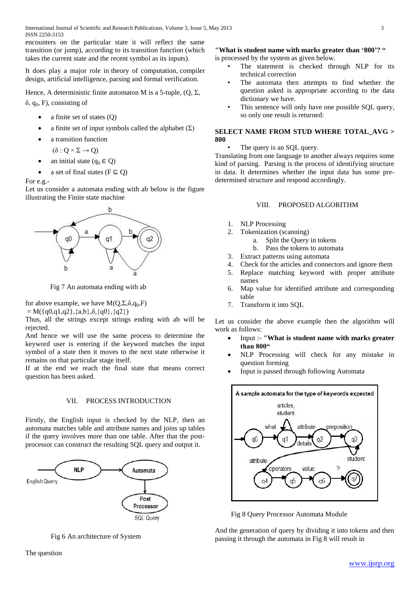encounters on the particular state it will reflect the same transition (or jump), according to its transition function (which takes the current state and the recent symbol as its inputs).

It does play a major role in [theory of computation,](http://en.wikipedia.org/wiki/Theory_of_computation) [compiler](http://en.wikipedia.org/wiki/Compiler_design)  [design,](http://en.wikipedia.org/wiki/Compiler_design) [artificial intelligence,](http://en.wikipedia.org/wiki/Artificial_intelligence) [parsing](http://en.wikipedia.org/wiki/Parsing) and [formal verification.](http://en.wikipedia.org/wiki/Formal_verification)

Hence, A deterministic finite automaton M is a 5[-tuple,](http://en.wikipedia.org/wiki/N-tuple)  $(Q, \Sigma, \Sigma)$ 

 $δ$ , q<sub>0</sub>, F), consisting of

- a finite set of [states](http://en.wikipedia.org/wiki/State_(computer_science)) (Q)
- a finite set of input symbols called the [alphabet](http://en.wikipedia.org/wiki/Alphabet_(computer_science))  $(\Sigma)$
- a transition [function](http://en.wikipedia.org/wiki/Function_(mathematics))

$$
(\delta: Q \times \Sigma \to Q)
$$

- an initial state ( $q_0 \in Q$ )
- a set of final [states](http://en.wikipedia.org/wiki/Finite_state_machine#Accept_state) ( $F \subseteq Q$ )

For e.g.-

Let us consider a automata ending with ab below is the figure illustrating the Finite state machine



Fig 7 An automata ending with ab

for above example, we have  $M(Q, \Sigma, \delta, q_0, F)$ 

 $= M({q0,q1,q2}, {a,b}, \delta, {q0}, {q2})$ 

Thus, all the strings except strings ending with ab will be rejected.

And hence we will use the same process to determine the keyword user is entering if the keyword matches the input symbol of a state then it moves to the next state otherwise it remains on that particular stage itself.

If at the end we reach the final state that means correct question has been asked.

# VII. PROCESS INTRODUCTION

Firstly, the English input is checked by the NLP, then an automata matches table and attribute names and joins up tables if the query involves more than one table. After that the postprocessor can construct the resulting SQL query and output it.



Fig 6 An architecture of System

#### **"What is student name with marks greater than '800'? "** is processed by the system as given below.

- The statement is checked through NLP for its technical correction
- The automata then attempts to find whether the question asked is appropriate according to the data dictionary we have.
- This sentence will only have one possible SQL query, so only one result is returned:

## **SELECT NAME FROM STUD WHERE TOTAL\_AVG > 800**

The query is an SQL query.

Translating from one language to another always requires some kind of parsing. Parsing is the process of identifying structure in data. It determines whether the input data has some predetermined structure and respond accordingly.

## VIII. PROPOSED ALGORITHM

- 1. NLP Processing
- 2. Tokenization (scanning)
	- a. Split the Query in tokens
	- b. Pass the tokens to automata
- 3. Extract patterns using automata
- 4. Check for the articles and connectors and ignore them
- 5. Replace matching keyword with proper attribute names
- 6. Map value for identified attribute and corresponding table
- 7. Transform it into SQL

Let us consider the above example then the algorithm will work as follows:

- Input :- **"What is student name with marks greater than 800"**
- NLP Processing will check for any mistake in question forming
- Input is passed through following Automata



Fig 8 Query Processor Automata Module

And the generation of query by dividing it into tokens and then passing it through the automata in Fig 8 will result in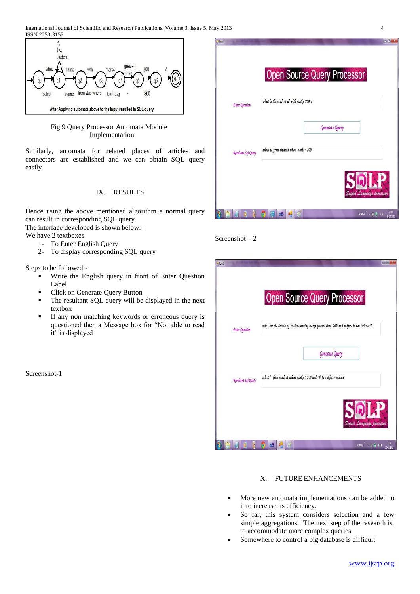

# Fig 9 Query Processor Automata Module Implementation

Similarly, automata for related places of articles and connectors are established and we can obtain SQL query easily.

# IX. RESULTS

Hence using the above mentioned algorithm a normal query can result in corresponding SQL query. The interface developed is shown below:-

We have 2 textboxes

- 1- To Enter English Query
- 2- To display corresponding SQL query

Steps to be followed:-

- Write the English query in front of Enter Question Label
- Click on Generate Query Button
- The resultant SQL query will be displayed in the next textbox
- If any non matching keywords or erroneous query is questioned then a Message box for "Not able to read it" is displayed

Screenshot-1

| i-Form1               |                                                                                                                                                                                  | $-1$               |
|-----------------------|----------------------------------------------------------------------------------------------------------------------------------------------------------------------------------|--------------------|
|                       |                                                                                                                                                                                  |                    |
|                       | <b>Open Source Query Processor</b>                                                                                                                                               |                    |
|                       |                                                                                                                                                                                  |                    |
| <b>Enter Question</b> | what is the student id with marks '200'?                                                                                                                                         |                    |
|                       | Generate Query                                                                                                                                                                   |                    |
| Resultant Sql Query   | select id from student where marks= 200                                                                                                                                          |                    |
|                       | Sequel Language processor                                                                                                                                                        |                    |
| 習<br>ķ                | Desktop $\stackrel{98}{\longrightarrow}$ $\stackrel{10}{\parallel}$ $\stackrel{10}{\oplus}$ and $\stackrel{108}{\oplus}$<br>四<br>$\blacksquare$ $\blacksquare$<br>lo<br>$\omega$ | 2141<br>20-12-2012 |



|                            | <b>Open Source Query Processor</b>                                                            |
|----------------------------|-----------------------------------------------------------------------------------------------|
| <b>Enter Question</b>      | what are the details of student having marks greater than '200' and subject is not 'science'? |
|                            | Generate Query                                                                                |
| <b>Resultant Sql Query</b> | select * from student where marks > 200 and NOT subject= science                              |
|                            |                                                                                               |

# X. FUTURE ENHANCEMENTS

- More new automata implementations can be added to it to increase its efficiency.
- So far, this system considers selection and a few simple aggregations. The next step of the research is, to accommodate more complex queries
- Somewhere to control a big database is difficult